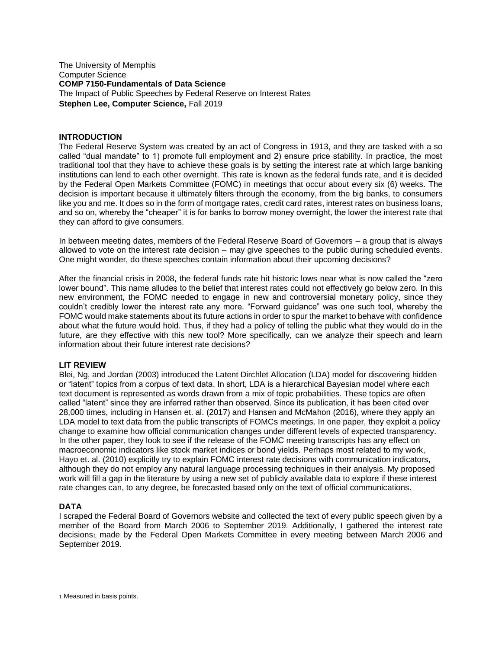The University of Memphis Computer Science **COMP 7150-Fundamentals of Data Science** The Impact of Public Speeches by Federal Reserve on Interest Rates **Stephen Lee, Computer Science,** Fall 2019

# **INTRODUCTION**

The Federal Reserve System was created by an act of Congress in 1913, and they are tasked with a so called "dual mandate" to 1) promote full employment and 2) ensure price stability. In practice, the most traditional tool that they have to achieve these goals is by setting the interest rate at which large banking institutions can lend to each other overnight. This rate is known as the federal funds rate, and it is decided by the Federal Open Markets Committee (FOMC) in meetings that occur about every six (6) weeks. The decision is important because it ultimately filters through the economy, from the big banks, to consumers like you and me. It does so in the form of mortgage rates, credit card rates, interest rates on business loans, and so on, whereby the "cheaper" it is for banks to borrow money overnight, the lower the interest rate that they can afford to give consumers.

In between meeting dates, members of the Federal Reserve Board of Governors – a group that is always allowed to vote on the interest rate decision – may give speeches to the public during scheduled events. One might wonder, do these speeches contain information about their upcoming decisions?

After the financial crisis in 2008, the federal funds rate hit historic lows near what is now called the "zero lower bound". This name alludes to the belief that interest rates could not effectively go below zero. In this new environment, the FOMC needed to engage in new and controversial monetary policy, since they couldn't credibly lower the interest rate any more. "Forward guidance" was one such tool, whereby the FOMC would make statements about its future actions in order to spur the market to behave with confidence about what the future would hold. Thus, if they had a policy of telling the public what they would do in the future, are they effective with this new tool? More specifically, can we analyze their speech and learn information about their future interest rate decisions?

### **LIT REVIEW**

Blei, Ng, and Jordan (2003) introduced the Latent Dirchlet Allocation (LDA) model for discovering hidden or "latent" topics from a corpus of text data. In short, LDA is a hierarchical Bayesian model where each text document is represented as words drawn from a mix of topic probabilities. These topics are often called "latent" since they are inferred rather than observed. Since its publication, it has been cited over 28,000 times, including in Hansen et. al. (2017) and Hansen and McMahon (2016), where they apply an LDA model to text data from the public transcripts of FOMCs meetings. In one paper, they exploit a policy change to examine how official communication changes under different levels of expected transparency. In the other paper, they look to see if the release of the FOMC meeting transcripts has any effect on macroeconomic indicators like stock market indices or bond yields. Perhaps most related to my work, Hayo et. al. (2010) explicitly try to explain FOMC interest rate decisions with communication indicators, although they do not employ any natural language processing techniques in their analysis. My proposed work will fill a gap in the literature by using a new set of publicly available data to explore if these interest rate changes can, to any degree, be forecasted based only on the text of official communications.

### **DATA**

I scraped the Federal Board of Governors website and collected the text of every public speech given by a member of the Board from March 2006 to September 2019. Additionally, I gathered the interest rate decisions1 made by the Federal Open Markets Committee in every meeting between March 2006 and September 2019.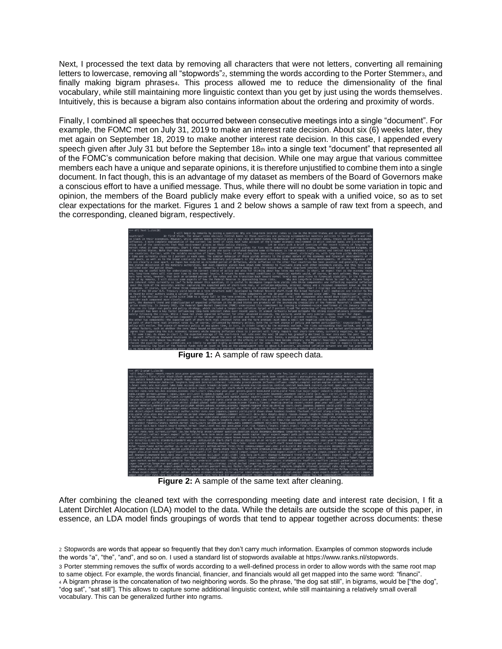Next, I processed the text data by removing all characters that were not letters, converting all remaining letters to lowercase, removing all "stopwords"2, stemming the words according to the Porter Stemmer3, and finally making bigram phrases<sub>4</sub>. This process allowed me to reduce the dimensionality of the final vocabulary, while still maintaining more linguistic context than you get by just using the words themselves. Intuitively, this is because a bigram also contains information about the ordering and proximity of words.

Finally, I combined all speeches that occurred between consecutive meetings into a single "document". For example, the FOMC met on July 31, 2019 to make an interest rate decision. About six (6) weeks later, they met again on September 18, 2019 to make another interest rate decision. In this case, I appended every speech given after July 31 but before the September 18th into a single text "document" that represented all of the FOMC's communication before making that decision. While one may argue that various committee members each have a unique and separate opinions, it is therefore unjustified to combine them into a single document. In fact though, this is an advantage of my dataset as members of the Board of Governors make a conscious effort to have a unified message. Thus, while there will no doubt be some variation in topic and opinion, the members of the Board publicly make every effort to speak with a unified voice, so as to set clear expectations for the market. Figures 1 and 2 below shows a sample of raw text from a speech, and the corresponding, cleaned bigram, respectively.



**Figure 1:** A sample of raw speech data.



**Figure 2:** A sample of the same text after cleaning.

After combining the cleaned text with the corresponding meeting date and interest rate decision, I fit a Latent Dirchlet Alocation (LDA) model to the data. While the details are outside the scope of this paper, in essence, an LDA model finds groupings of words that tend to appear together across documents: these

2 Stopwords are words that appear so frequently that they don't carry much information. Examples of common stopwords include the words "a", "the", "and", and so on. I used a standard list of stopwords available at https://www.ranks.nl/stopwords. 3 Porter stemming removes the suffix of words according to a well-defined process in order to allow words with the same root map to same object. For example, the words financial, financier, and financials would all get mapped into the same word: "financi". <sup>4</sup> A bigram phrase is the concatenation of two neighboring words. So the phrase, "the dog sat still", in bigrams, would be ["the dog", "dog sat", "sat still"]. This allows to capture some additional linguistic context, while still maintaining a relatively small overall vocabulary. This can be generalized further into ngrams.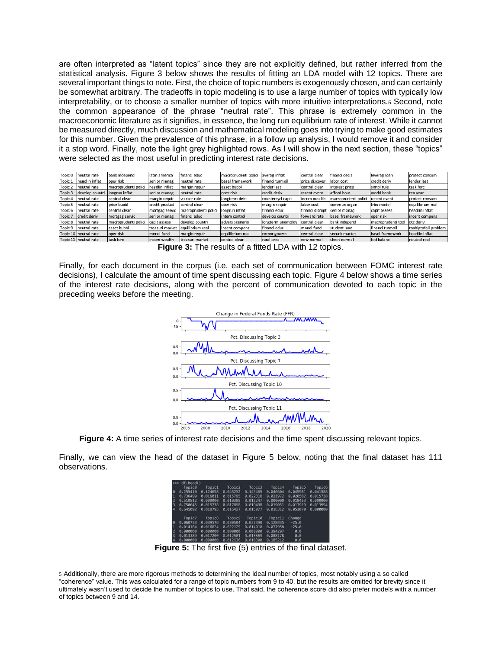are often interpreted as "latent topics" since they are not explicitly defined, but rather inferred from the statistical analysis. Figure 3 below shows the results of fitting an LDA model with 12 topics. There are several important things to note. First, the choice of topic numbers is exogenously chosen, and can certainly be somewhat arbitrary. The tradeoffs in topic modeling is to use a large number of topics with typically low interpretability, or to choose a smaller number of topics with more intuitive interpretations.<sup>5</sup> Second, note the common appearance of the phrase "neutral rate". This phrase is extremely common in the macroeconomic literature as it signifies, in essence, the long run equilibrium rate of interest. While it cannot be measured directly, much discussion and mathematical modeling goes into trying to make good estimates for this number. Given the prevalence of this phrase, in a follow up analysis, I would remove it and consider it a stop word. Finally, note the light grey highlighted rows. As I will show in the next section, these "topics" were selected as the most useful in predicting interest rate decisions.

| Topic 0 | neutral rate            | bank independ          | llatin america  | financi educ         | macroprudenti polici | averag inflat     | central clear   | financi decis        | leverag loan       | protect consum       |
|---------|-------------------------|------------------------|-----------------|----------------------|----------------------|-------------------|-----------------|----------------------|--------------------|----------------------|
| Topic 1 | headlin inflat          | oper risk              | senior manag    | neutral rate         | basel framework      | financi turmoil   | price discoveri | labor cost           | credit deriv       | lender last          |
| Topic 2 | neutral rate            | macroprudenti polici   | headlin inflat  | margin requir        | asset bubbl          | lender last       | central clear   | interest price       | simpl rule         | task forc            |
| Topic 3 | develop countri         | longrun inflat         | senior manag    | neutral rate         | oper risk            | credit deriv      | recent event    | afford hous          | world bank         | ten year             |
| Topic 4 | neutral rate            | central clear          | margin requir   | volcker rule         | longterm debt        | countercycl capit | incom wealth    | macroprudenti polici | recent event       | protect consum       |
| Topic 5 | neutral rate            | price bubbl            | credit product  | central clear        | oper risk            | margin requir     | labor cost      | commun organ         | frbu model         | equilibrium real     |
| Topic 6 | neutral rate            | central clear          | mortgag servic  | macroprudenti polici | longrun inflat       | financi educ      | financi disrupt | senior manag         | capit assess       | headlin inflat       |
| Topic 7 | credit deriv            | <b>Imortgag servic</b> | senior manag    | financi educ         | lintern control      | develop countri   | forward rate    | basel framework      | oper risk          | incent compens       |
| Topic 8 | neutral rate            | macroprudenti polici   | capit assess    | develop countri      | ladvers scenario     | longterm unemploy | central clear   | bank independ        | macroprudenti tool | lotc deriv           |
| Topic 9 | neutral rate            | asset bubbl            | treasuri market | equilibrium real     | incent compens       | l financi educ    | monei fund      | student loan         | Ifinanci turmoil   | toobigtofail problem |
|         | Topic 10   neutral rate | loper risk             | monei fund      | margin requir        | equilibrium real     | corpor govern     | central clear   | securit market       | basel framework    | headlin inflat       |
|         | Topic 11   neutral rate | Itask forc             | incom wealth    | treasuri market      | central clear        | Irural area       | new normal      | sheet normal         | lfed balanc        | neutral real         |

**Figure 3:** The results of a fitted LDA with 12 topics.

Finally, for each document in the corpus (i.e. each set of communication between FOMC interest rate decisions), I calculate the amount of time spent discussing each topic. Figure 4 below shows a time series of the interest rate decisions, along with the percent of communication devoted to each topic in the preceding weeks before the meeting.



**Figure 4:** A time series of interest rate decisions and the time spent discussing relevant topics.

Finally, we can view the head of the dataset in Figure 5 below, noting that the final dataset has 111 observations.

| ---<br>u u u |               |          |          |          |          |          |          |
|--------------|---------------|----------|----------|----------|----------|----------|----------|
|              | <b>Topic0</b> | Topic1   | Topic2   | Topic3   | Topic4   | Topic5   | Topic6   |
| $\theta$     | 0.255410      | 0.124658 | 0.043252 | 0.145469 | 0.046604 | 0.045981 | 0.041588 |
|              | 0.736499      | 0.016011 | 0.015795 | 0.022318 | 0.021972 | 0.026582 | 0.015738 |
|              | 0.510512      | 0.000000 | 0.010388 | 0.012247 | 0.000000 | 0.018453 | 0.000000 |
| 3            | 0.750645      | 0.015778 | 0.017898 | 0.019498 | 0.019051 | 0.017919 | 0.013994 |
| А            | 0.645092      | 0.018795 | 0.016427 | 0.015077 | 0.016312 | 0.051070 | 0.000000 |
|              | Topic7        | Topic8   | Topic9   | Topic10  | Topic11  | Change   |          |
| $\theta$     | 0.060733      | 0.039576 | 0.030504 | 0.037390 | 0.128835 | $-25.0$  |          |
|              | 0.014164      | 0.016824 | 0.022129 | 0.014010 | 0.077958 | $-25.0$  |          |
|              | 0.000000      | 0.000000 | 0.000000 | 0.000000 | 0.394297 | 0.0      |          |
|              | 0.013389      | 0.017200 | 0.012581 | 0.013869 | 0.088178 | 0.0      |          |
| А            | 0.000000      | 0.000000 | 0.012136 | 0.010300 | 0.185212 | 0.0      |          |
|              |               |          |          |          |          |          |          |

**Figure 5:** The first five (5) entries of the final dataset.

5 Additionally, there are more rigorous methods to determining the ideal number of topics, most notably using a so called "coherence" value. This was calculated for a range of topic numbers from 9 to 40, but the results are omitted for brevity since it ultimately wasn't used to decide the number of topics to use. That said, the coherence score did also prefer models with a number of topics between 9 and 14.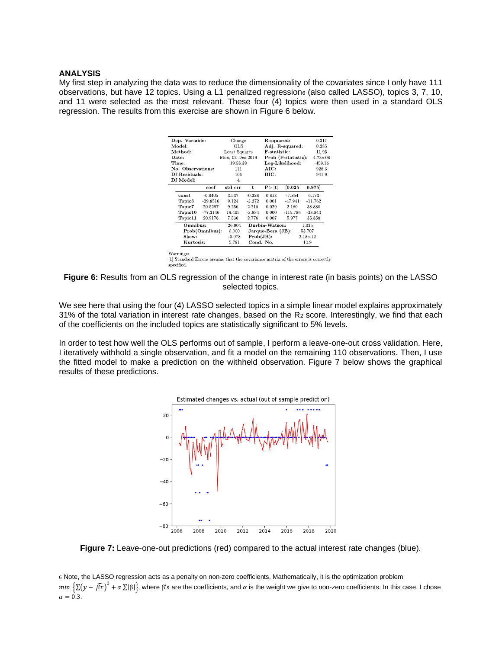### **ANALYSIS**

My first step in analyzing the data was to reduce the dimensionality of the covariates since I only have 111 observations, but have 12 topics. Using a L1 penalized regressions (also called LASSO), topics 3, 7, 10, and 11 were selected as the most relevant. These four (4) topics were then used in a standard OLS regression. The results from this exercise are shown in Figure 6 below.

|           | Dep. Variable:    |                | Change            |                             | R squared:          |            | 0.311     |
|-----------|-------------------|----------------|-------------------|-----------------------------|---------------------|------------|-----------|
|           | Model:            |                | OLS               |                             | Adj. R squared:     | 0.285      |           |
|           | Method:           |                | Least Squares     |                             | F statistic:        | 11.95      |           |
|           | Date:             |                | Mon. 02 Dec 2019  |                             | Prob (F statistic): | 4.73e-08   |           |
|           | Time:             |                | 19:58:39          |                             | Log Likelihood:     | $-459.16$  |           |
|           | No. Observations: |                | 111               |                             | AIC:                | 928.3      |           |
|           | Df Residuals:     |                | 106               |                             | BIC.                | 941.9      |           |
| Df Model: |                   |                | $\overline{4}$    |                             |                     |            |           |
|           |                   | coef           | std err           | t.                          | P> t                | [0.025]    | 0.975     |
|           | const             | $-0.8405$      | 3.537             | $-0.238$                    | 0.813               | $-7.854$   | 6.173     |
|           | Topic3            | $-29.8516$     | 9.124             | $-3.272$                    | 0.001               | $-47.941$  | $-11.762$ |
|           | Topic7            | 20.5297        | 9.256             | 2.218                       | 0.029               | 2.180      | 38.880    |
|           | Topic10           | $-77.3146$     | 19.405            | $-3.984$                    | 0.000               | $-115.786$ | $-38.843$ |
|           | Topic11           | 20.9176        | 7.536             | 2.776                       | 0.007               | 5.977      | 35.858    |
|           | Omnibus:          |                | 26.904            | Durbin-Watson:              |                     | 1.035      |           |
|           |                   | Prob(Omnibus): | 0.000             | 53.707<br>Jarque Bera (JB): |                     |            |           |
|           | Skew:             |                | $-0.978$          | $Prob(JB)$ :<br>2.18e-12    |                     |            |           |
|           | Kurtosis:         | 5.791          | Cond. No.<br>13.9 |                             |                     |            |           |
|           | Warnings:         |                |                   |                             |                     |            |           |

[1] Standard Errors assume that the covariance matrix of the errors is correctly specified.

**Figure 6:** Results from an OLS regression of the change in interest rate (in basis points) on the LASSO selected topics.

We see here that using the four (4) LASSO selected topics in a simple linear model explains approximately 31% of the total variation in interest rate changes, based on the R<sup>2</sup> score. Interestingly, we find that each of the coefficients on the included topics are statistically significant to 5% levels.

In order to test how well the OLS performs out of sample, I perform a leave-one-out cross validation. Here, I iteratively withhold a single observation, and fit a model on the remaining 110 observations. Then, I use the fitted model to make a prediction on the withheld observation. Figure 7 below shows the graphical results of these predictions.



**Figure 7:** Leave-one-out predictions (red) compared to the actual interest rate changes (blue).

6 Note, the LASSO regression acts as a penalty on non-zero coefficients. Mathematically, it is the optimization problem  $min\ \big\{\Sigma(y-\widehat{\beta x})^2+\alpha\,\Sigma|\beta|\big\},$  where β's are the coefficients, and  $\alpha$  is the weight we give to non-zero coefficients. In this case, I chose  $\alpha = 0.3$ .